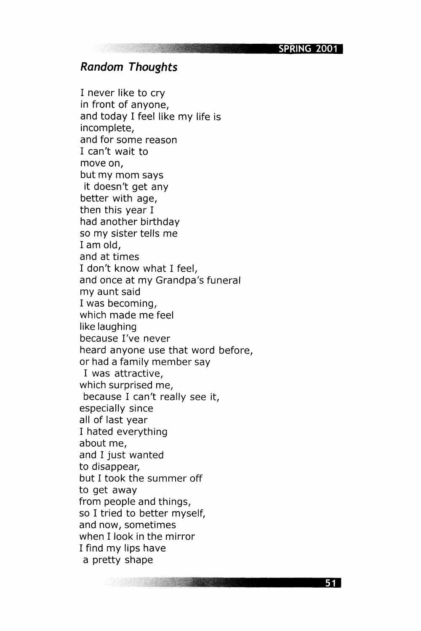SPRING 2001

## **Random Thoughts**

I never like to cry in front of anyone, and today I feel like my life is incomplete, and for some reason I can't wait to move on, but my mom says it doesn't get any better with age, then this year I had another birthday so my sister tells me I am old, and at times I don't know what I feel, and once at my Grandpa's funeral my aunt said I was becoming, which made me feel like laughing because I've never heard anyone use that word before, or had a family member say I was attractive, which surprised me, because I can't really see it, especially since all of last year I hated everything about me, and I just wanted to disappear, but I took the summer off to get away from people and things, so I tried to better myself, and now, sometimes when I look in the mirror I find my lips have a pretty shape

51